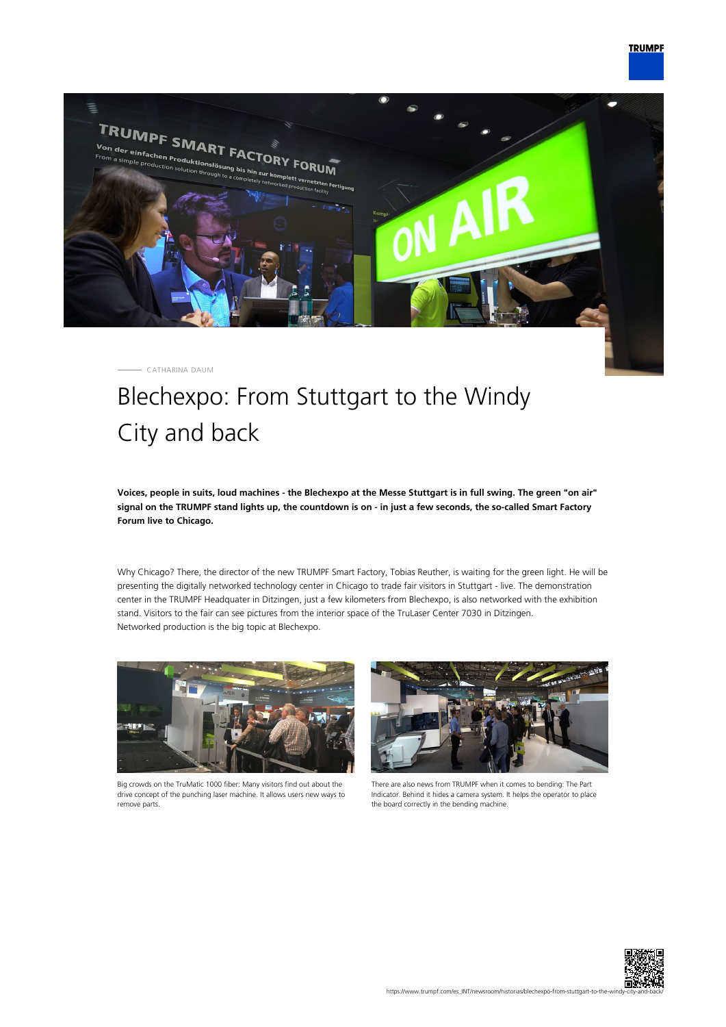

CATHARINA DAUM

## Blechexpo: From Stuttgart to the Windy City and back

**Voices, people in suits, loud machines - the Blechexpo at the Messe Stuttgart is in full swing. The green "on air" signal on the TRUMPF stand lights up, the countdown is on - in just a few seconds, the so-called Smart Factory Forum live to Chicago.**

Why Chicago? There, the director of the new TRUMPF Smart Factory, Tobias Reuther, is waiting for the green light. He will be presenting the digitally networked technology center in Chicago to trade fair visitors in Stuttgart - live. The demonstration center in the TRUMPF Headquater in Ditzingen, just a few kilometers from Blechexpo, is also networked with the exhibition stand. Visitors to the fair can see pictures from the interior space of the TruLaser Center 7030 in Ditzingen. Networked production is the big topic at Blechexpo.



Big crowds on the TruMatic 1000 fiber: Many visitors find out about the drive concept of the punching laser machine. It allows users new ways to remove parts.



There are also news from TRUMPF when it comes to bending: The Part Indicator. Behind it hides a camera system. It helps the operator to place the board correctly in the bending machine.